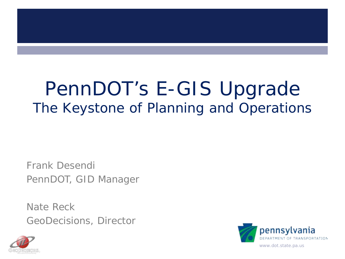#### PennDOT's E-GIS Upgrade The Keystone of Planning and Operations

Frank Desendi PennDOT, GID Manager

Nate Reck GeoDecisions, Director



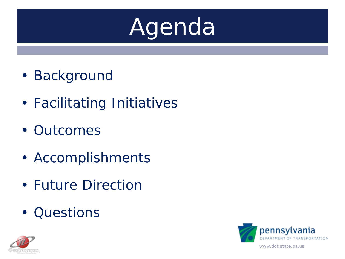# Agenda

- Background
- Facilitating Initiatives
- Outcomes
- Accomplishments
- Future Direction
- Questions



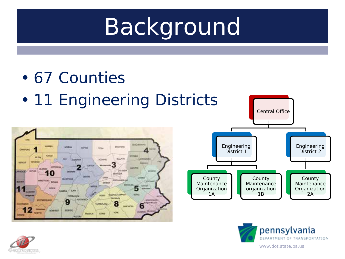- 67 Counties
- 11 Engineering Districts







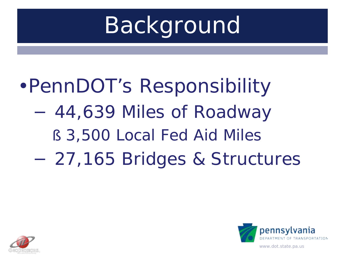# •PennDOT's Responsibility

- − 44,639 Miles of Roadway
	- § 3,500 Local Fed Aid Miles
- − 27,165 Bridges & Structures



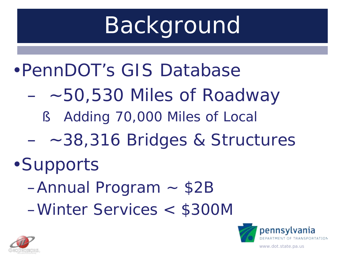#### •PennDOT's GIS Database

- ~50,530 Miles of Roadway
	- § Adding 70,000 Miles of Local
- ~38,316 Bridges & Structures

#### •Supports

- –Annual Program ~ \$2B
- –Winter Services < \$300M



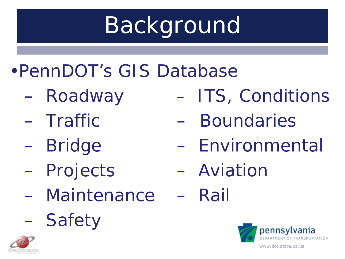- •PennDOT's GIS Database
	- Roadway
	- Traffic
	- Bridge
	- Projects
	- Maintenance
	- Safety



- ITS, Conditions
- Boundaries
- Environmental
- Aviation
- Rail

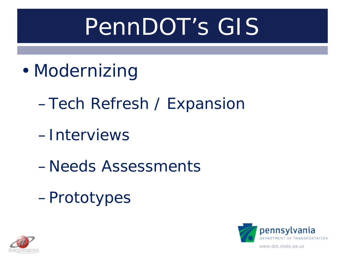## PennDOT's GIS

- Modernizing
	- –Tech Refresh / Expansion
	- –Interviews
	- –Needs Assessments
	- –Prototypes



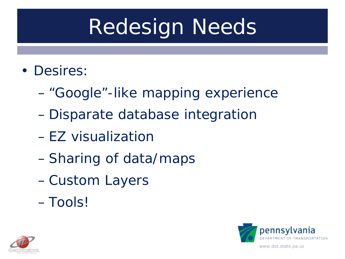## Redesign Needs

- Desires:
	- "Google"-like mapping experience
	- Disparate database integration
	- EZ visualization
	- –Sharing of data/maps
	- –Custom Layers
	- Tools!



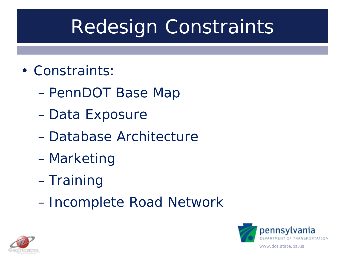#### Redesign Constraints

- Constraints:
	- PennDOT Base Map
	- Data Exposure
	- Database Architecture
	- Marketing
	- Training
	- Incomplete Road Network

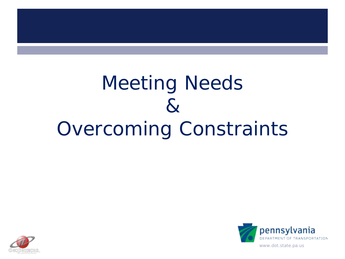#### Meeting Needs  $\mathcal{R}_{\mathcal{U}}$ Overcoming Constraints



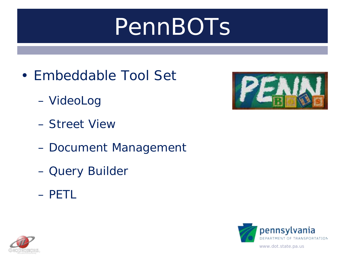## PennBOTs

- Embeddable Tool Set
	- VideoLog
	- Street View
	- Document Management
	- Query Builder
	- PETL





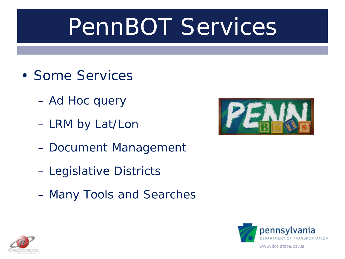## PennBOT Services

- Some Services
	- Ad Hoc query
	- LRM by Lat/Lon
	- Document Management
	- Legislative Districts
	- Many Tools and Searches





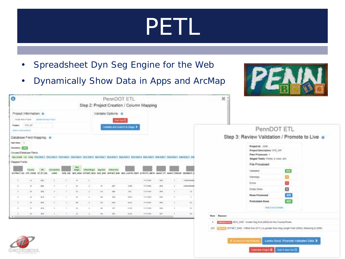## PETL

- Spreadsheet Dyn Seg Engine for the Web
- Dynamically Show Data in Apps and ArcMap



| o                           |                                                       |             |              |              |                          |                     | PennDOT ETL    |             |                                                                                                                                                    |                 |               |                |               | ×                 |  |
|-----------------------------|-------------------------------------------------------|-------------|--------------|--------------|--------------------------|---------------------|----------------|-------------|----------------------------------------------------------------------------------------------------------------------------------------------------|-----------------|---------------|----------------|---------------|-------------------|--|
|                             |                                                       |             |              |              |                          |                     |                |             | Step 2: Project Creation / Column Mapping                                                                                                          |                 |               |                |               |                   |  |
| Project Information. O      |                                                       |             |              |              |                          | Validate Options: 0 |                |             |                                                                                                                                                    |                 |               |                |               |                   |  |
|                             | Colorado Rena Privated   La Angel 4 centres (Prigers) |             |              |              |                          |                     |                |             | <b>Building O</b>                                                                                                                                  |                 |               |                |               |                   |  |
| Frederick.                  | puts. auto                                            |             |              |              |                          |                     |                |             | Capital at traum in the animal                                                                                                                     |                 |               |                |               |                   |  |
| <b>Robin is Alexandrian</b> |                                                       |             |              |              |                          |                     |                |             |                                                                                                                                                    |                 |               |                |               |                   |  |
| Database Field Mapping: 0   |                                                       |             |              |              |                          |                     |                |             |                                                                                                                                                    |                 |               |                |               |                   |  |
| <b>ERANT Road 1. 31</b>     |                                                       |             |              |              |                          |                     |                |             |                                                                                                                                                    |                 |               |                |               |                   |  |
| Genevay (File               |                                                       |             |              |              |                          |                     |                |             |                                                                                                                                                    |                 |               |                |               |                   |  |
| Unused Detebase Fleids:     |                                                       |             |              |              |                          |                     |                |             |                                                                                                                                                    |                 |               |                |               |                   |  |
|                             |                                                       |             |              |              |                          |                     |                |             | Declarate Lat Long courses (Ascience charbes) charbes courses morning) movies( municipal mustical mustan) contained conclusive contained contained |                 |               |                |               |                   |  |
| Mapped Fields:              |                                                       |             |              |              |                          |                     |                |             |                                                                                                                                                    |                 |               |                |               |                   |  |
|                             | <b>Claused</b>                                        |             |              |              |                          |                     |                |             |                                                                                                                                                    |                 |               |                |               |                   |  |
| INVESTIGATION COOK BY RY NO |                                                       |             | <b>JUNEE</b> |              |                          |                     |                |             | SOE NO. 604 904 OFFERT ASH VES ON OFFICE DID BOS LATTH FEET ACTIVITY MET: WANT, FT. MANYLYONING ISSNEY! N                                          |                 |               |                |               |                   |  |
| $\rightarrow$               | $^{14}$                                               | men-        | $(1 + 1)$    | <b>KOL</b>   | $+98$                    | $\,$                |                |             |                                                                                                                                                    | PERMIT          | <b>SEPTEM</b> | 83             | 1 bit counter |                   |  |
| <b>Service</b><br>x         | $\Rightarrow$                                         | 356         | ×            |              | $\overline{\phantom{a}}$ | ٠                   | $\mathcal{H}$  | ter.        | <b>ANDE</b>                                                                                                                                        | T-POINT         | 204           | ×.             | 2 8 8 100 100 |                   |  |
| $\mathbb{R}$                | $\sim$                                                | $m_{\rm A}$ | $\mathbf{v}$ | ×.           | $\alpha$                 | ٠                   | 10             | $\equiv$    | $m +$                                                                                                                                              | <b>TEYRONE</b>  | and .         | 85             | 16            |                   |  |
| ٠                           | $\sim$                                                | <b>And</b>  | $\sim$       | ٠            | u                        | ٠                   | $\equiv$       | 1910        | 10312                                                                                                                                              | <b>FELTIME</b>  | <b>SHE</b>    | ٠              | ٠             |                   |  |
|                             | $\sim$                                                | mo          | $\sim$       | P.O.         |                          | $\mathbf{r}$        | <b>Inte</b>    | <b>Inch</b> | terra:                                                                                                                                             | 1111024         | dirta:        | w.             | $^{4+}$       |                   |  |
| ٠                           | $\left  \alpha \right\rangle$                         | $40\%$      | $\sim$       | $\mathbb{R}$ | $\mathbf{u}$             | ٠                   | $\blacksquare$ | $+1$        | $+1+16$                                                                                                                                            | <b>Highland</b> | ms.           | ٠              | w<br>18.5     |                   |  |
| л.                          | <b>FEL 3.1</b>                                        | m           | 115.00       | 1.1          | $-2$                     |                     | 18             |             |                                                                                                                                                    |                 |               |                |               |                   |  |
|                             |                                                       |             |              |              |                          |                     |                | part        | 33.18                                                                                                                                              | <b>FESTIVA</b>  | m             | <b>COLLEGE</b> | 88            | <b>Row Repair</b> |  |

#### PennDOT ETL

Step 3: Review Validation / Promote to Live o

| <b>Walmerson</b><br>п<br><b>ENVIS</b><br>Ematy Rows<br>426<br><b>Rows Processed</b><br>425<br>Promotable Rows<br><b>Hotel Estua Distant</b> | Validated | 406 |
|---------------------------------------------------------------------------------------------------------------------------------------------|-----------|-----|
|                                                                                                                                             |           |     |
|                                                                                                                                             |           |     |
|                                                                                                                                             |           |     |
|                                                                                                                                             |           |     |
|                                                                                                                                             |           |     |
|                                                                                                                                             |           |     |
|                                                                                                                                             |           |     |
| TELEVISION CHO - Inventational (0000) for the County Route                                                                                  |           |     |

 $125 - 8$ 

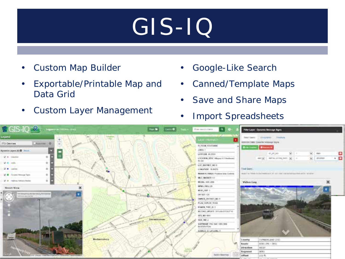## GIS-IQ

- Custom Map Builder
- Exportable/Printable Map and Data Grid
- Custom Layer Management
- Google-Like Search
- Canned/Template Maps
- Save and Share Maps
- Import Spreadsheets

| $\sqrt{GIS-IQ}$                                                                                                                                                           | <b>Handa</b> (1989) <b>D</b> | formations. 0                                                                                                                                                                       | <b>Filter Layer - Oynamic Mexicage Signs</b>                                                                                                                                           |                                                                                     |
|---------------------------------------------------------------------------------------------------------------------------------------------------------------------------|------------------------------|-------------------------------------------------------------------------------------------------------------------------------------------------------------------------------------|----------------------------------------------------------------------------------------------------------------------------------------------------------------------------------------|-------------------------------------------------------------------------------------|
| <b>Separat</b><br>ITS Devices<br><b>Business O</b>                                                                                                                        |                              | <b>Layer (Married)</b><br><b>IN FIDAL RESITIANCE</b>                                                                                                                                | THIS CARTY - In the MPAC - Fourth to<br>Somood Dake Durante trooppage trans                                                                                                            |                                                                                     |
| Synamic Layers (R) C .: Insure<br><b>V</b> + Glentas<br>ō<br>W. R. Hally<br>e<br>c<br>St. + Carola<br>a.<br>c                                                             |                              | <b>JUNE 1</b><br>LAWUGK 4L23387<br>LOCATION IN NC Missouri I Unatterest<br><b>PESEL</b><br>LOC DISTRICT MULT.<br>LOBARTHER DURESTS<br><b>MARK IIC TORES: Produce false Carleras</b> | <b>Change</b><br><b>Disk County</b><br>47,47,40<br>antigent memorial and services are<br><b>Final Duers</b><br>HEALT BY THINK CO IS FINING A 21.21 CO 1992 AND ACCOUNTED AT R 1 W ASH- | $\mathcal{L}_{\mathcal{C}}$<br>$\frac{1}{2}$ and<br>. 음<br>$\frac{1}{2}$ . Scribner |
| SC-M - Foreman Himmage Stars-<br>o<br>œ<br>SE W. Treatmas Advisers Planker.<br>E<br>o<br><b>Storet York</b><br><b>REGISTER PERSONAL PROPERTY</b><br><b>PO IT SOUTHERN</b> | <b>JAHLIN L PR</b>           | <b>MEE MARKER KT</b><br>MODEL SHITLERS<br>MAN FROUGH<br><b>MODULER</b> 3.<br>DEVALE 121<br>OWNER SEESOCY NO.R                                                                       | <b>Video Lou</b>                                                                                                                                                                       |                                                                                     |
| H                                                                                                                                                                         | <b>Shirlesington</b>         | PLAN DEPUTH YEAR<br>FORES THREE 2<br>RECOME GROUPE STELLANDSCALES M.<br>10'O NO 1991<br>105 NO.<br>SOFTWARE PAC SUC 10012836<br><b>INSERATION</b>                                   |                                                                                                                                                                                        |                                                                                     |
| Machanishery<br><b>Banders Company Company</b>                                                                                                                            |                              | SOBILE IS LATLONG ?<br>Salah Keurras                                                                                                                                                | CUMBERLAND (31)<br>County<br><b>Books</b><br>10081.0NL 1991<br><b>WEST</b><br>Direction<br>oces.<br>Sogneert<br>1113.80<br>Offices.                                                    |                                                                                     |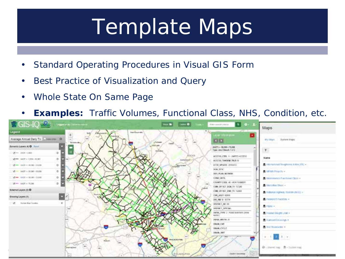### Template Maps

- Standard Operating Procedures in Visual GIS Form
- Best Practice of Visualization and Query
- Whole State On Same Page
- **Examples:** Traffic Volumes, Functional Class, NHS, Condition, etc.

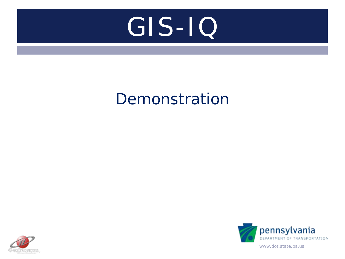# GIS-IQ

#### Demonstration



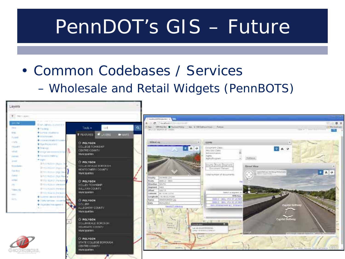#### PennDOT's GIS – Future

• Common Codebases / Services – Wholesale and Retail Widgets (PennBOTS)

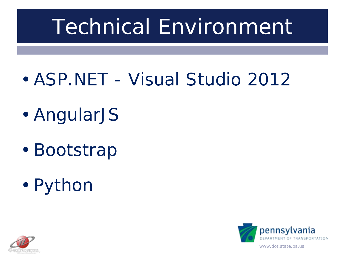## Technical Environment

- ASP.NET Visual Studio 2012
- AngularJS
- Bootstrap
- Python

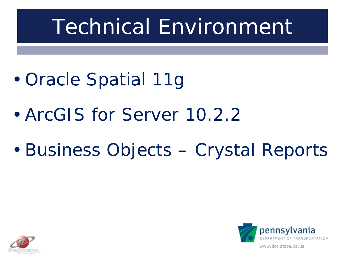## Technical Environment

- Oracle Spatial 11g
- ArcGIS for Server 10.2.2
- Business Objects Crystal Reports

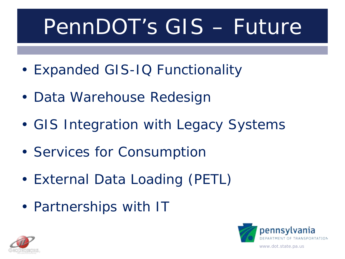## PennDOT's GIS – Future

- Expanded GIS-IQ Functionality
- Data Warehouse Redesign
- GIS Integration with Legacy Systems
- Services for Consumption
- External Data Loading (PETL)
- Partnerships with IT



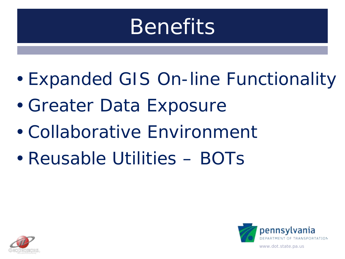#### **Benefits**

- Expanded GIS On-line Functionality
- Greater Data Exposure
- Collaborative Environment
- Reusable Utilities BOTs



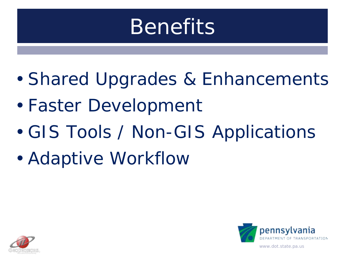#### **Benefits**

- Shared Upgrades & Enhancements
- Faster Development
- GIS Tools / Non-GIS Applications
- Adaptive Workflow